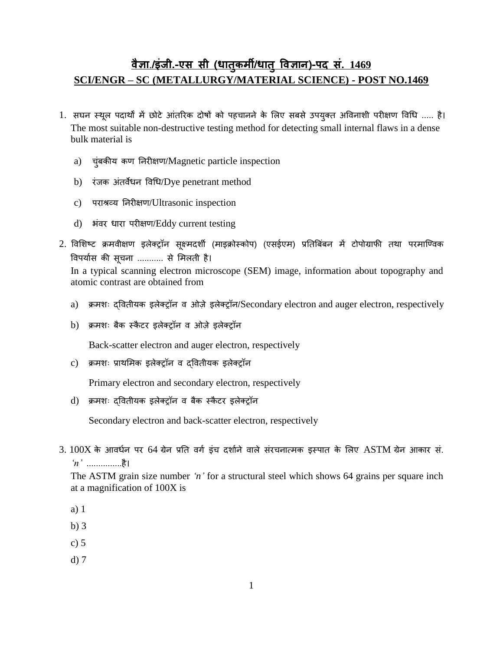## **वैज्ञा**.**/इंजी.-एस सी (धातु कर्मी/धातु ववज्ञान)-पद सं. 1469 SCI/ENGR – SC (METALLURGY/MATERIAL SCIENCE) - POST NO.1469**

- 1. सघन स्थूल पदार्थों में छोटे आंतरिक दोषों को पहचानने के लिए सबसे उपयुक्त अविनाशी परीक्षण विधि ..... है। The most suitable non-destructive testing method for detecting small internal flaws in a dense bulk material is
	- a) चुंबकीय कण ननिीक्षण/Magnetic particle inspection
	- b) रंजक अंतर्वेधन विधि/Dye penetrant method
	- c) पराश्रव्य निरीक्षण/Ultrasonic inspection
	- d) भंवर धारा परीक्षण/Eddy current testing
- 2. विशिष्ट क्रमवीक्षण इलेक्ट्रॉन सुक्ष्मदर्शी (माइक्रोस्कोप) (एसईएम) प्रतिबिंबन में टोपोग्राफी तथा परमाण्विक विपर्यास की सूचना ........... से मिलती है।

In a typical scanning electron microscope (SEM) image, information about topography and atomic contrast are obtained from

- a) क्रमशः दवितीयक इलेक्ट्रॉन व ओज़े इलेक्ट्रॉन/Secondary electron and auger electron, respectively
- b) क्रमशः बैक स्कैटर इलेक्ट्रॉन व ओज़े इलेक्ट्रॉन

Back-scatter electron and auger electron, respectively

c) क्रमशः प्राथमिक इलेक्ट्रॉन व दवितीयक इलेक्ट्रॉन

Primary electron and secondary electron, respectively

d) क्रमशः दवितीयक इलेक्ट्रॉन व बैक स्कैटर इलेक्ट्रॉन

Secondary electron and back-scatter electron, respectively

 $3.100X$  के आवर्धन पर 64 ग्रेन प्रति वर्ग इंच दर्शाने वाले संरचनात्मक इस्पात के लिए ASTM ग्रेन आकार सं. *'n'* ...............है।

The ASTM grain size number *'n'* for a structural steel which shows 64 grains per square inch at a magnification of 100X is

- a) 1
- b) 3
- c) 5
- d) 7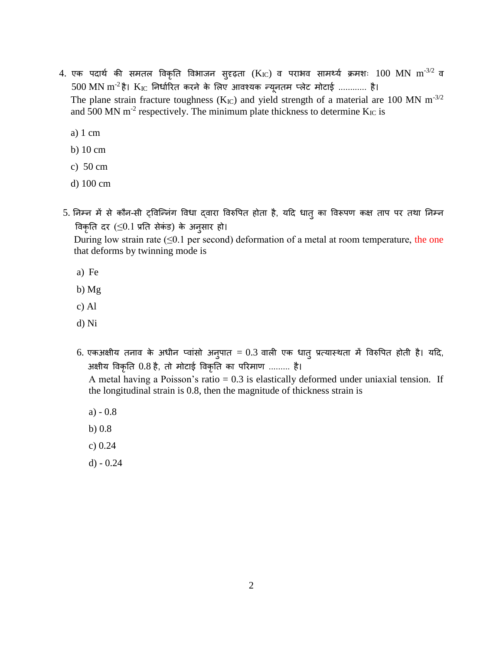- 4. एक पदार्थ की समतल विकृति विभाजन सुदृढ़ता (K<sub>IC</sub>) व पराभव सामर्थ्य क्रमशः 100 MN m<sup>-3/2</sup> व  $500~\rm{MN}~\rm{m}^{\text{-2}}$ है।  $\rm{K_{IC}}$  निर्धारित करने के लिए आवश्यक न्यूनतम प्लेट मोटाई ............ है। The plane strain fracture toughness ( $K_{IC}$ ) and yield strength of a material are 100 MN m<sup>-3/2</sup> and 500 MN  $m^{-2}$  respectively. The minimum plate thickness to determine  $K_{\text{IC}}$  is
	- a) 1 cm
	- b) 10 cm
	- c) 50 cm
	- d) 100 cm
- 5. निम्न में से कौन-सी ट्विन्निंग विधा द्वारा विरुपित होता है, यदि धात् का विरूपण कक्ष ताप पर तथा निम्न विकृति दर  $( \leq 0.1$  प्रति सेकंड) के अनुसार हो।

During low strain rate  $(\leq 0.1$  per second) deformation of a metal at room temperature, the one that deforms by twinning mode is

- a) Fe
- b) Mg
- c) Al
- d) Ni
- 6. एकअक्षीय तनाव के अधीन प्वांसो अनुपात = 0.3 वाली एक धातु प्रत्यास्थता में विरुपित होती है। यदि, अक्षीय विकृनत 0.8 है, तो मोटाई विकृनत का परिमाण ......... है।

A metal having a Poisson's ratio  $= 0.3$  is elastically deformed under uniaxial tension. If the longitudinal strain is 0.8, then the magnitude of thickness strain is

- a) 0.8
- b) 0.8
- c) 0.24
- d) 0.24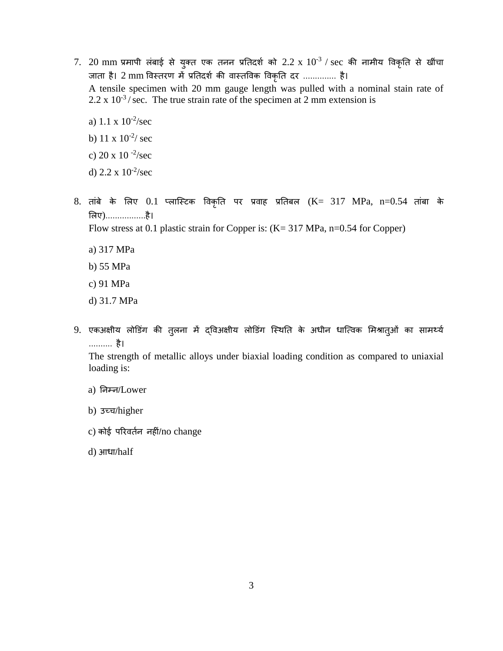- $7.$   $\,20 \text{ mm}$  प्रमापी लंबाई से युक्त एक तनन प्रतिदर्श को  $2.2 \text{ x } 10^{-3}$  /  $\text{sec}$  की नामीय विकृति से खींचा जाता है। 2 mm विस्तरण में प्रतिदर्श की वास्तविक विकृति दर .............. है। A tensile specimen with 20 mm gauge length was pulled with a nominal stain rate of  $2.2 \times 10^{-3}$ / sec. The true strain rate of the specimen at 2 mm extension is
	- a)  $1.1 \times 10^{-2}$ /sec
	- b) 11 x  $10^{-2}$ / sec
	- c) 20 x 10 -2 /sec
	- d)  $2.2 \times 10^{-2}$ /sec
- 8. तांबे के लिए 0.1 प्लास्टिक विकृति पर प्रवाह प्रतिबल (K= 317 MPa, n=0.54 तांबा के लिए)................है। Flow stress at 0.1 plastic strain for Copper is: (K= 317 MPa, n=0.54 for Copper)
	- a) 317 MPa
	- b) 55 MPa
	- c) 91 MPa
	- d) 31.7 MPa
- 9. एकअक्षीय लोडिंग की तुलना में दविअक्षीय लोडिंग स्थिति के अधीन धात्विक मिश्रात्ओं का सामर्थ्य .......... है।

The strength of metallic alloys under biaxial loading condition as compared to uniaxial loading is:

- a) ननम्न/Lower
- b) उच्च/higher
- c) कोई परिवर्तन नहीं/no change
- d) आधा/half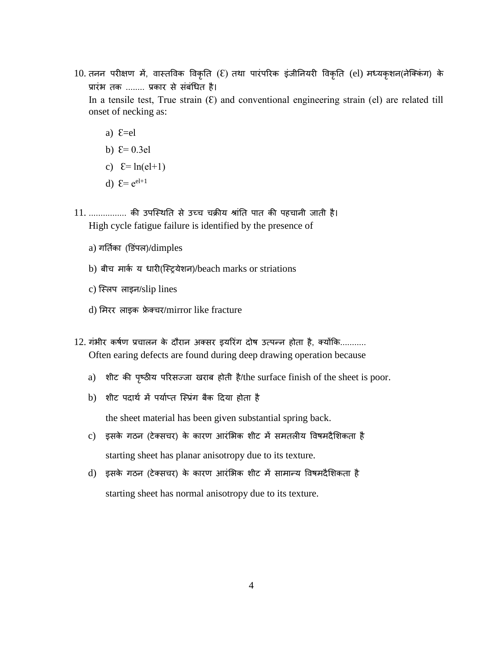10. तनन परीक्षण में, वास्तविक विकृति (ᢄ) तथा पारंपरिक इंजीनियरी विकृति (el) मध्यकृशन(नेक्किंग) के प्रारंभ तक ........ प्रकार से संबंधित है।

In a tensile test, True strain  $(E)$  and conventional engineering strain (el) are related till onset of necking as:

- a)  $E=el$
- b)  $E=0.3el$
- c)  $E = ln(el+1)$
- d)  $\mathcal{E} = e^{el+1}$

11. ................ की उपण्स्थनत से उच्च चक्रीय श्रांनत पात की पहचानी जाती है। High cycle fatigue failure is identified by the presence of

- a) गर्तिका (डिंपल)/dimples
- b) बीच मार्क य धारी(स्ट्रियेशन)/beach marks or striations
- c) ण्स्लप लाइन/slip lines
- d) मिरर लाइक फ्रेक्चर/mirror like fracture
- 12. गंभीर कर्षण प्रचालन के दौरान अक्सर इयरिंग दोष उत्पन्न होता है, क्योंकि........... Often earing defects are found during deep drawing operation because
	- a) शीट की पष्ृठीय परिसज्जा खिाब होती है/the surface finish of the sheet is poor.
	- b) शीट पदार्थ में पर्याप्त स्प्रिंग बैक दिया होता है

the sheet material has been given substantial spring back.

- c) इसके गठन (टेक्सचर) के कारण आरंभिक शीट में समतलीय विषमदैशिकता है starting sheet has planar anisotropy due to its texture.
- d) इसके गठन (टेक्सचर) के कारण आरंभिक शीट में सामान्य विषमदैशिकता है starting sheet has normal anisotropy due to its texture.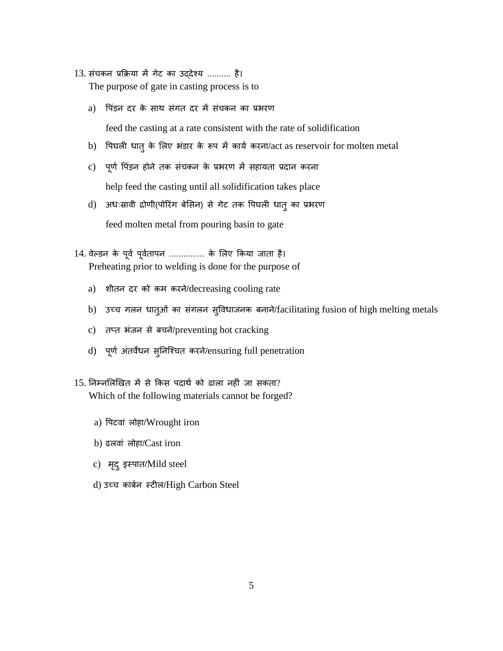- 13. संचकन प्रक्रिया में गेट का उददेश्य .......... है। The purpose of gate in casting process is to
	- a) पिंड़न दर के साथ संगत दर में संचकन का प्रभरण

feed the casting at a rate consistent with the rate of solidification

- b) पिघली धातु के लिए भंडार के रूप में कार्य करना/act as reservoir for molten metal
- c) पूर्ण पिंड़न होने तक संचकन के प्रभरण में सहायता प्रदान करना help feed the casting until all solidification takes place
- d) अधःस्रावी द्रोणी(पोरिंग बेसिन) से गेट तक पिघली धात् का प्रभरण feed molten metal from pouring basin to gate
- 14. वेल्डन के पूर्व पूर्वतापन ............... के लिए किया जाता है। Preheating prior to welding is done for the purpose of
	- a) शीतन दर को कम करने/decreasing cooling rate
	- b) उच्च गलन धातुओं का संगलन सुविधाजनक बनाने/facilitating fusion of high melting metals
	- c) तप्त भंजन से बचने/preventing hot cracking
	- d) पूर्ण अंतर्वेधन सुनिश्चित करने/ensuring full penetration
- $15.$  निम्नलिखित में से किस पदार्थ को ढाला नहीं जा सकता? Which of the following materials cannot be forged?
	- a) पिटवां लोहा/Wrought iron
	- b) ढलवां लोहा/Cast iron
	- c) मदृ ुइस्पात/Mild steel
	- d) उच्च कार्बन स्टील/High Carbon Steel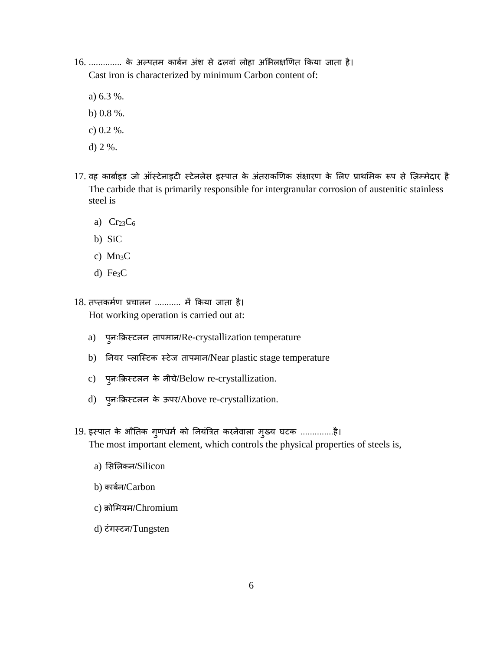- 16. .............. के अल्पतम कार्बन अंश से ढलवां लोहा अभिलक्षणित किया जाता है। Cast iron is characterized by minimum Carbon content of:
	- a) 6.3 %.
	- b) 0.8 %.
	- c) 0.2 %.
	- d) 2 %.
- 17. वह कार्बाइड जो ऑस्टेनाइटी स्टेनलेस इस्पात के अंतराकणिक संक्षारण के लिए प्राथमिक रूप से ज़िम्मेदार है The carbide that is primarily responsible for intergranular corrosion of austenitic stainless steel is
	- a)  $Cr<sub>23</sub>C<sub>6</sub>$
	- b) SiC
	- c)  $Mn_3C$
	- d)  $Fe<sub>3</sub>C$
- 18. तप्तकमाण प्रचालन ........... में ककया जाता है। Hot working operation is carried out at:
	- a) पुनःकक्रस्टलन तापमान/Re-crystallization temperature
	- b) ननयि प्लाण्स्टक स्टेज तापमान/Near plastic stage temperature
	- c) प्लःक्रिस्टलन के नीचे/Below re-crystallization.
	- d) प्लःक्रिस्टलन के ऊपर/Above re-crystallization.
- 19. इस्पात के भौतिक गुणधर्म को नियंत्रित करनेवाला मुख्य घटक ...............है। The most important element, which controls the physical properties of steels is,
	- a) सिलिकन/Silicon
	- b) कार्बन/Carbon
	- c) क्रोलमयम/Chromium
	- d) टंर्स्टन/Tungsten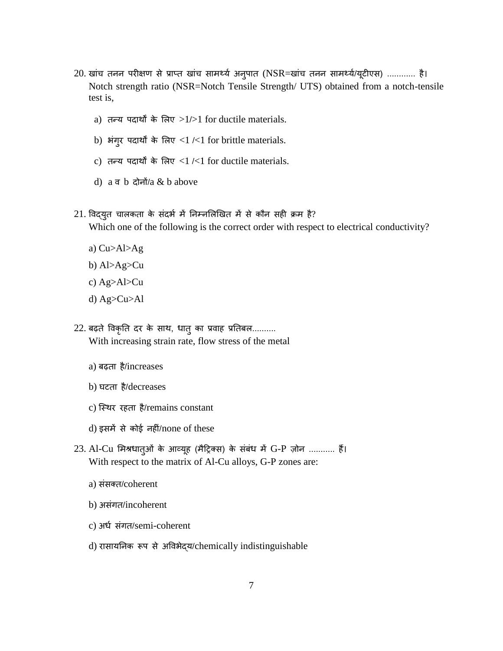- 20. खांच तनन परीक्षण से प्राप्त खांच सामर्थ्य अनुपात (NSR=खांच तनन सामर्थ्य/यूटीएस) ............ है। Notch strength ratio (NSR=Notch Tensile Strength/ UTS) obtained from a notch-tensile test is,
	- a) तन्य पदार्थों के लिए  $>1/>1$  for ductile materials.
	- b) भंगुर पदार्थों के लिए  $<$ 1 / $<$ 1 for brittle materials.
	- c) तन्य पदार्थों के लिए  $\langle 1/\langle 1 \rangle$  for ductile materials.
	- d)  $a \nabla b$   $\frac{d}{dx} \frac{d}{dx}$  a b above
- 21. विद्युत चालकता के संदर्भ में निम्नलिखित में से कौन सही क्रम है? Which one of the following is the correct order with respect to electrical conductivity?
	- a) Cu>Al>Ag
	- b) Al>Ag>Cu
	- c) Ag>Al>Cu
	- d) Ag>Cu>Al
- 22. बढ़ते विकृति दर के साथ, धातु का प्रवाह प्रतिबल.......... With increasing strain rate, flow stress of the metal
	- a) बढ़ता है/increases
	- b) घटता है/decreases
	- c) स्थिर रहता है/remains constant
	- d) इसमें से कोई नहीं/none of these
- 23. Al-Cu लमश्रिातुओं के आव्यूह (मैदरक्स) के संबंि में G-P जोन ........... हैं। With respect to the matrix of Al-Cu alloys, G-P zones are:
	- a) संसक्त/coherent
	- b) असंर्त/incoherent
	- c) अर्ध संगत/semi-coherent
	- d) िासायननक रूप से अविभेद्य/chemically indistinguishable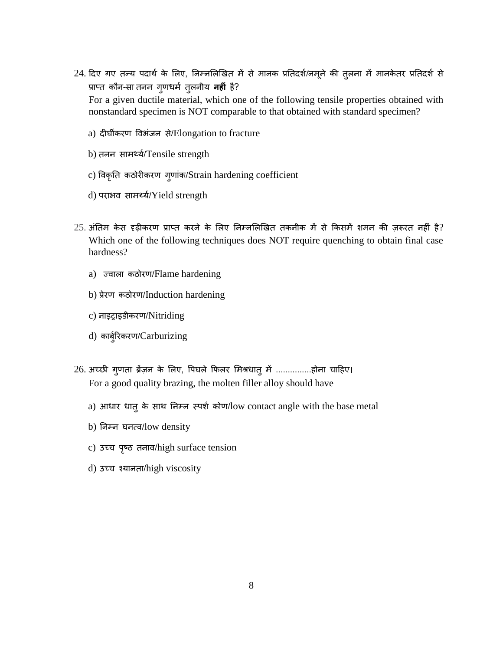24. दिए गए तन्य पदार्थ के लिए, निम्नलिखित में से मानक प्रतिदर्श/नमूने की तुलना में मानकेतर प्रतिदर्श से प्राप्त कौन-सा तनन गुणधर्म तुलनीय **नहीं** है?

For a given ductile material, which one of the following tensile properties obtained with nonstandard specimen is NOT comparable to that obtained with standard specimen?

- a) दीघीकिण विभंजन से/Elongation to fracture
- b) तनन सामर्थया/Tensile strength
- c) विकृनत कठोिीकिण र्ुणांक/Strain hardening coefficient
- d) पराभव सामर्थ्य/Yield strength
- $25$ . अंतिम केस दृढ़ीकरण प्राप्त करने के लिए निम्नलिखित तकनीक में से किसमें शमन की ज़रूरत नहीं है? Which one of the following techniques does NOT require quenching to obtain final case hardness?
	- a) ज्वाला कठोरण/Flame hardening
	- b) प्रेरण कठोरण/Induction hardening
	- c) नाइराइडीकिण/Nitriding
	- d) कार्बुरिकरण/Carburizing
- 26. अच्छी ग्णता ब्रेंज़न के लिए, पिघले फिलर मिश्रधात् में ...............होना चाहिए। For a good quality brazing, the molten filler alloy should have
	- a) आधार धात् के साथ निम्न स्पर्श कोण/low contact angle with the base metal
	- b) ननम्न घनत्ि/low density
	- c) उच्च पृष्ठ तनाव/high surface tension
	- d) उच्च श्यानता/high viscosity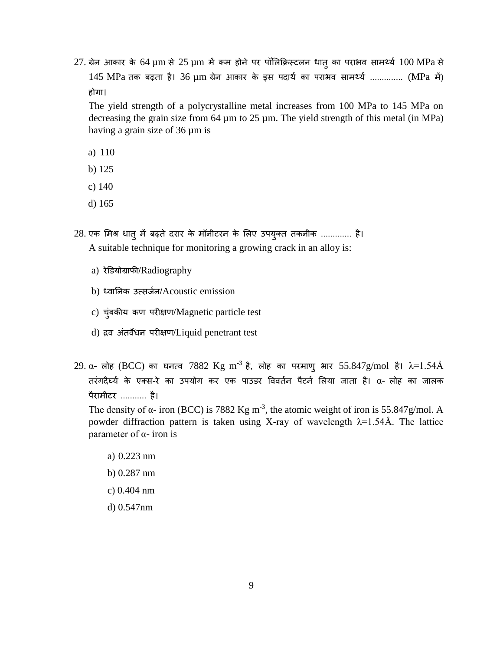$27$ . ग्रेन आकार के 64  $\mu$ m से  $25$   $\mu$ m में कम होने पर पॉलिक्रिस्टलन धात् का पराभव सामर्थ्य  $100$  MPa से 145 MPa तक बढ़ता है। 36 um ग्रेन आकार के इस पदार्थ का पराभव सामर्थ्य .............. (MPa में) होगा।

The yield strength of a polycrystalline metal increases from 100 MPa to 145 MPa on decreasing the grain size from  $64 \mu m$  to  $25 \mu m$ . The yield strength of this metal (in MPa) having a grain size of 36 µm is

- a) 110
- b) 125
- c) 140
- d) 165
- 28. एक मिश्र धात् में बढ़ते दरार के मॉनीटरन के लिए उपयुक्त तकनीक ............. है। A suitable technique for monitoring a growing crack in an alloy is:
	- a) रेडियोग्राफी/Radiography
	- b) ध्वानिक उत्सर्जन/Acoustic emission
	- c) चुंबकीय कण पिीक्षण/Magnetic particle test
	- d) द्रव अंतर्वेधन परीक्षण/Liquid penetrant test
- $29$ . α- लोह (BCC) का घनत्व  $7882$  Kg m $^{-3}$  है, लोह का परमाणु भार 55.847g/mol है।  $\lambda$ = $1.54$ Å तरंगदैर्घ्य के एक्स-रे का उपयोग कर एक पाउडर विवर्तन पैटर्न लिया जाता है।  $\alpha$ - लोह का जालक पैरामीटर ........... है।

The density of  $\alpha$ - iron (BCC) is 7882 Kg m<sup>-3</sup>, the atomic weight of iron is 55.847g/mol. A powder diffraction pattern is taken using X-ray of wavelength  $\lambda$ =1.54Å. The lattice parameter of  $α$ - iron is

- a) 0.223 nm
- b) 0.287 nm
- c) 0.404 nm
- d) 0.547nm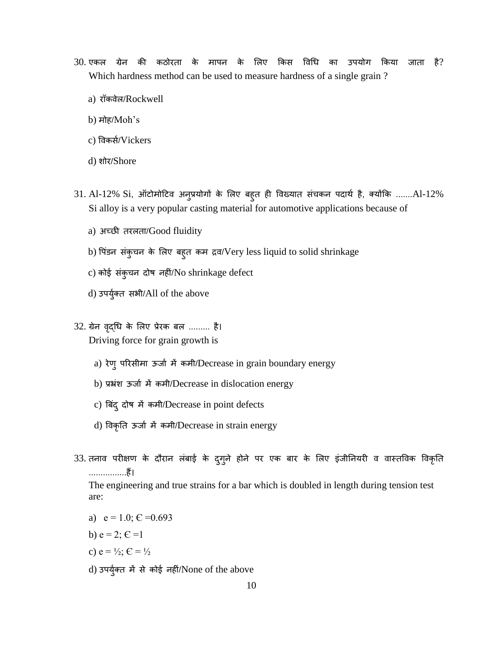- 30. एकल ग्रेन की कठोरता के मापन के लिए किस विधि का उपयोग किया जाता है? Which hardness method can be used to measure hardness of a single grain ?
	- a) रॉकवेल/Rockwell
	- b) मोह/Moh's
	- c) विकसा/Vickers
	- d) शोर/Shore
- $31.$  Al-12% Si, ऑटोमोटिव अनुप्रयोगों के लिए बहुत ही विख्यात संचकन पदार्थ है, क्योंकि .......Al-12% Si alloy is a very popular casting material for automotive applications because of
	- a) अच्छी तिलता/Good fluidity
	- b) पिंडन संकुचन के लिए बहुत कम द्रव/Very less liquid to solid shrinkage
	- c) कोई संकुचन दोष नहीं/No shrinkage defect
	- d) उपर्युक्त सभी/All of the above
- 32. ग्रेन वृद्धि के लिए प्रेरक बल ......... है। Driving force for grain growth is
	- a) रेणु परिसीमा ऊर्जा में कमी/Decrease in grain boundary energy
	- b) प्रभ्रंश ऊजाा में कमी/Decrease in dislocation energy
	- c) बबदं ुदोष में कमी/Decrease in point defects
	- d) विकृनत ऊजाा में कमी/Decrease in strain energy
- 33. तनाव परीक्षण के दौरान लंबाई के दुगुने होने पर एक बार के लिए इंजीनियरी व वास्तविक विकृति ................हैं।

The engineering and true strains for a bar which is doubled in length during tension test are:

- a)  $e = 1.0$ ;  $E = 0.693$
- b)  $e = 2$ ;  $C = 1$
- c)  $e = \frac{1}{2}$ ;  $C = \frac{1}{2}$
- d) उपर्युक्त में से कोई नहीं/None of the above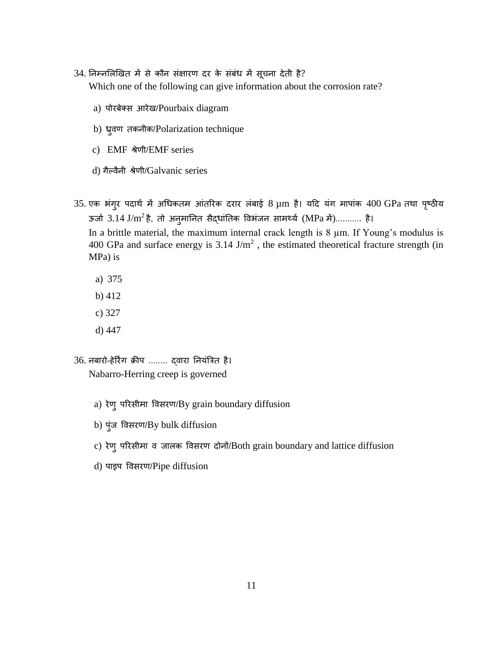- 34. निम्नलिखित में से कौन संक्षारण दर के संबंध में सूचना देती है? Which one of the following can give information about the corrosion rate?
	- a) पोरबेक्स आरेख/Pourbaix diagram
	- b) ध्रुवण तकनीक/Polarization technique
	- c) EMF श्रेणी/EMF series
	- d) गैल्वैनी श्रेणी/Galvanic series
- 35. एक भंगुर पदार्थ में अधिकतम आंतरिक दरार लंबाई 8 µm है। यदि यंग मापांक 400 GPa तथा पृष्ठीय ऊर्जा  $3.14 \text{ J/m}^2$ है, तो अनुमानित सैद्धांतिक विभंजन सामर्थ्य (MPa में)........... है। In a brittle material, the maximum internal crack length is  $8 \mu m$ . If Young's modulus is 400 GPa and surface energy is 3.14 J/m<sup>2</sup>, the estimated theoretical fracture strength (in MPa) is
	- a) 375
	- b) 412
	- c) 327
	- d) 447
- 36. नबारो-हेरिंग क्रीप ........ द्वारा नियंत्रित है। Nabarro-Herring creep is governed
	- a) रेणु परिसीमा विसरण/By grain boundary diffusion
	- b) पुंज विसिण/By bulk diffusion
	- c) रेणु परिसीमा व जालक विसरण दोनों/Both grain boundary and lattice diffusion
	- d) पाइप विसिण/Pipe diffusion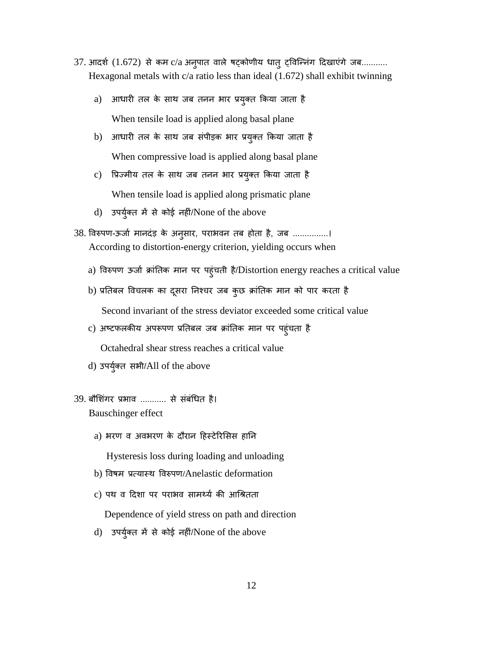- $37$ . आदर्श  $(1.672)$  से कम  $\rm c/a$  अनुपात वाले षट्कोणीय धातु ट्विन्निंग दिखाएंगे जब........... Hexagonal metals with c/a ratio less than ideal (1.672) shall exhibit twinning
	- a) आधारी तल के साथ जब तनन भार प्रयुक्त किया जाता है When tensile load is applied along basal plane
	- b) आधारी तल के साथ जब संपीड़क भार प्रयुक्त किया जाता है When compressive load is applied along basal plane
	- c) वप्रज्मीय तल के साथ जब तनन भाि प्रयुक्त ककया जाता है When tensile load is applied along prismatic plane
	- d) उपर्युक्त में से कोई नहीं/None of the above
- 38. विरुपण-ऊर्जा मानदंड़ के अनुसार, पराभवन तब होता है, जब ...............। According to distortion-energy criterion, yielding occurs when
	- a) विरुपण ऊर्जा क्रांतिक मान पर पहुंचती है/Distortion energy reaches a critical value
	- b) प्रतिबल विचलक का दूसरा निश्चर जब कुछ क्रांतिक मान को पार करता है Second invariant of the stress deviator exceeded some critical value
	- c) अष्टफलकीय अपरूपण प्रतिबल जब क्रांतिक मान पर पहुंचता है Octahedral shear stress reaches a critical value
	- d) उपर्युक्त सभी/All of the above
- 39. बौशिंगर प्रभाव ........... से संबंधित है। Bauschinger effect
	- a) भरण व अवभरण के दौरान हिस्टेरिसिस हानि

Hysteresis loss during loading and unloading

- b) विषम प्रत्यास्थ विरुपण**/**Anelastic deformation
- c) पथ व दिशा पर पराभव सामर्थ्य की आश्रितता

Dependence of yield stress on path and direction

d) उपर्युक्त में से कोई नहीं/None of the above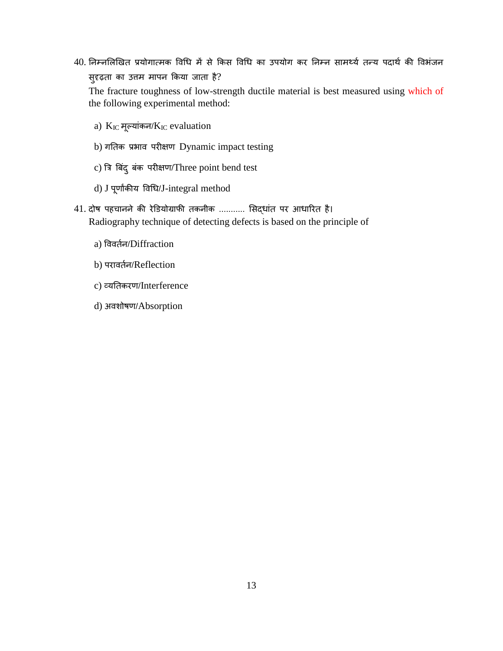40. निम्नलिखित प्रयोगात्मक विधि में से किस विधि का उपयोग कर निम्न सामर्थ्य तन्य पदार्थ की विभंजन सुदृढ़ता का उत्तम मापन ककया जाता है?

The fracture toughness of low-strength ductile material is best measured using which of the following experimental method:

- a) KIC मूल्यांकन/KIC evaluation
- b) गतिक प्रभाव परीक्षण Dynamic impact testing
- c) त्रि बिंद् बंक परीक्षण/Three point bend test
- d) J पूणािंकीय विधि/J-integral method
- 41. दोष पहचानने की रेडियोग्राफी तकनीक ........... सिद्धांत पर आधारित है। Radiography technique of detecting defects is based on the principle of
	- a) विवर्तन/Diffraction
	- b) परावर्तन/Reflection
	- c) व्यनतकिण/Interference
	- d) अवशोषण/Absorption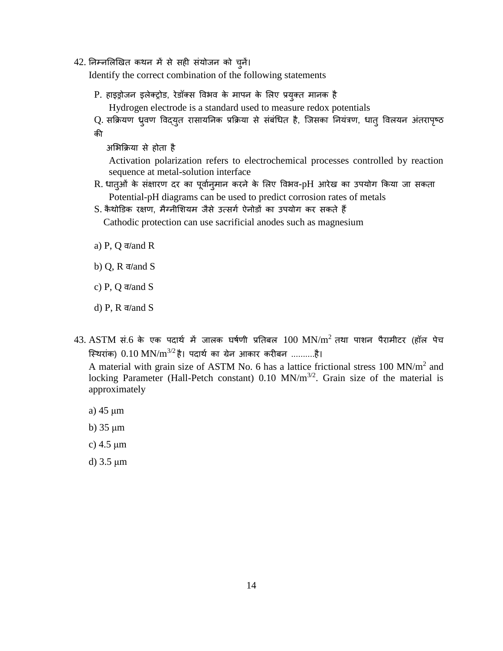42. ननम्नललखखत कथन में से सही संयोजन को चुनें।

Identify the correct combination of the following statements

P. हाइड्रोजन इलेक्ट्रोड, रेडॉक्स विभव के मापन के लिए प्रयुक्त मानक है

Hydrogen electrode is a standard used to measure redox potentials

Q. सक्रियण ध्रुवण विद्युत रासायनिक प्रक्रिया से संबंधित है, जिसका नियंत्रण, धात् विलयन अंतरापृष्ठ की

अलभकक्रया से होता है

 Activation polarization refers to electrochemical processes controlled by reaction sequence at metal-solution interface

- R. धातुओं के संक्षारण दर का पूर्वानुमान करने के लिए विभव-pH आरेख का उपयोग किया जा सकता Potential-pH diagrams can be used to predict corrosion rates of metals
- S. कैथोडिक रक्षण, मैग्नीशियम जैसे उत्सर्ग ऐनोडों का उपयोग कर सकते हैं

Cathodic protection can use sacrificial anodes such as magnesium

- a) P, Q  $\overline{\sigma}/\overline{\sigma}$  and R
- b)  $Q$ ,  $R \overline{q}$  and  $S$
- c) P, Q  $\overline{\sigma}/\overline{\sigma}$  and S
- d) P, R  $\overline{\sigma}/\overline{\sigma}$  and S
- $43. \> {\rm ASTM}$  सं.6 के एक पदार्थ में जालक घर्षणी प्रतिबल  $100 \> {\rm MN/m^2}$  तथा पाशन पैरामीटर (हॉल पेच स्थिरांक)  $0.10 \text{ MN/m}^{3/2}$ है। पदार्थ का ग्रेन आकार करीबन ..........है।

A material with grain size of ASTM No. 6 has a lattice frictional stress  $100 \text{ MN/m}^2$  and locking Parameter (Hall-Petch constant)  $0.10 \text{ MN/m}^{3/2}$ . Grain size of the material is approximately

- a) 45 μm
- b) 35 μm
- c) 4.5 μm
- d) 3.5 μm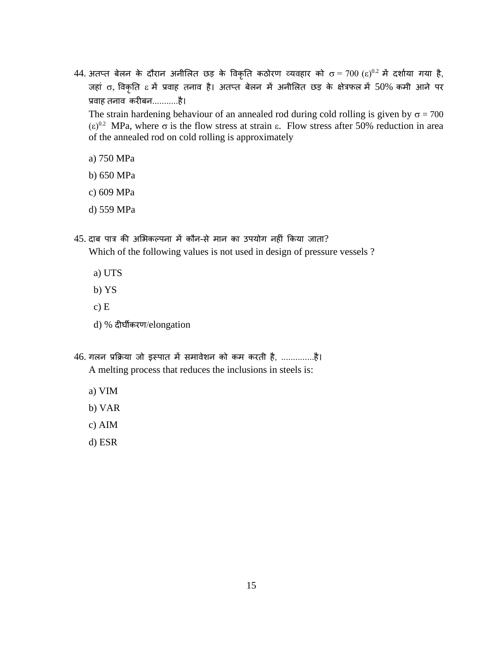44. अतप्त बेलन के दौरान अनीलित छड़ के विकृति कठोरण व्यवहार को  $\sigma = 700 \; (\epsilon)^{0.2}$  में दर्शाया गया है, जहां 0, विकृति  $\varepsilon$  में प्रवाह तनाव है। अतप्त बेलन में अनीलित छड़ के क्षेत्रफल में 50% कमी आने पर प्रवाह तनाव करीबन............है।

The strain hardening behaviour of an annealed rod during cold rolling is given by  $\sigma = 700$  $(\epsilon)^{0.2}$  MPa, where σ is the flow stress at strain  $\epsilon$ . Flow stress after 50% reduction in area of the annealed rod on cold rolling is approximately

- a) 750 MPa
- b) 650 MPa
- c) 609 MPa
- d) 559 MPa
- $45$ . दाब पात्र की अभिकल्पना में कौन-से मान का उपयोग नहीं किया जाता? Which of the following values is not used in design of pressure vessels ?
	- a) UTS
	- b) YS
	- c) E
	- d) % दीघीकिण/elongation
- 46. र्लन प्रकक्रया जो इस्पात में समािेशन को कम किती है, ..............है। A melting process that reduces the inclusions in steels is:
	- a) VIM
	- b) VAR
	- c) AIM
	- d) ESR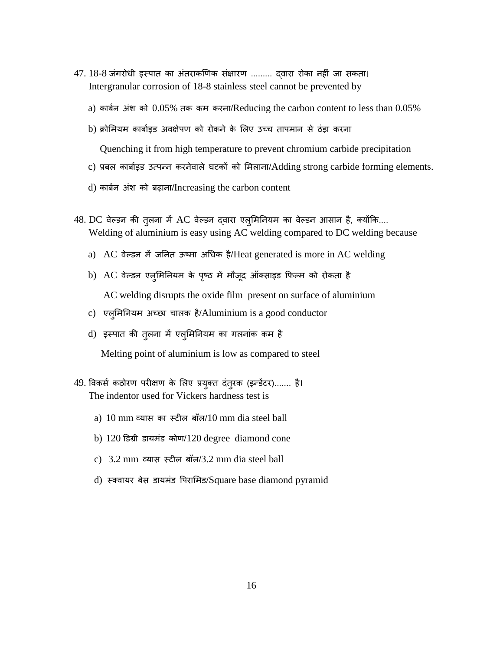- 47. 18-8 जंगरोधी इस्पात का अंतराकणिक संक्षारण ......... दवारा रोका नहीं जा सकता। Intergranular corrosion of 18-8 stainless steel cannot be prevented by
	- a) कार्बन अंश को  $0.05\%$  तक कम करना/Reducing the carbon content to less than  $0.05\%$
	- b) क्रोमियम कार्बाइड अवक्षेपण को रोकने के लिए उच्च तापमान से ठंड़ा करना

Quenching it from high temperature to prevent chromium carbide precipitation

- c) प्रबल कार्बाइड उत्पन्न करनेवाले घटकों को मिलाना/Adding strong carbide forming elements.
- d) काबान अंश को बढ़ाना/Increasing the carbon content
- $48.$  DC वेल्डन की तुलना में AC वेल्डन द्वारा एलुमिनियम का वेल्डन आसान है, क्योंकि.... Welding of aluminium is easy using AC welding compared to DC welding because
	- a) AC वेल्डन में जनित ऊष्मा अधिक है/Heat generated is more in AC welding
	- b) AC वेल्डन एलुमिनियम के पृष्ठ में मौजूद ऑक्साइड फिल्म को रोकता है AC welding disrupts the oxide film present on surface of aluminium
	- c) एलुलमननयम अच्छा चालक है/Aluminium is a good conductor
	- d) इस्पात की तुलना में एलुमिनियम का गलनांक कम है

Melting point of aluminium is low as compared to steel

- 49. विकर्स कठोरण परीक्षण के लिए प्रयुक्त दंतुरक (इन्डेंटर)....... है। The indentor used for Vickers hardness test is
	- a) 10 mm व्यास का स्टील बॉल/10 mm dia steel ball
	- b) 120 डडग्री डायमंड कोण/120 degree diamond cone
	- c) 3.2 mm व्यास स्टील बॉल/3.2 mm dia steel ball
	- d)स्क्िायि बेस डायमंड वपिालमड/Square base diamond pyramid